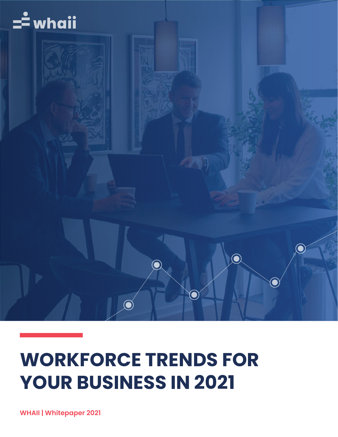

## **WORKFORCE TRENDS FOR YOUR BUSINESS IN 2021**

**WHAII | Whitepaper 2021**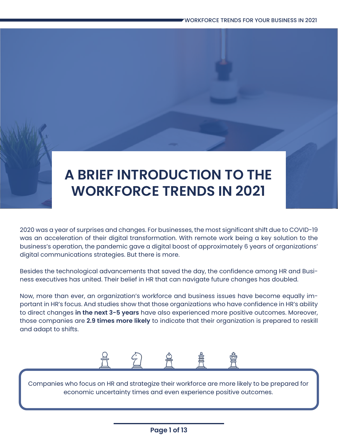## **A BRIEF INTRODUCTION TO THE WORKFORCE TRENDS IN 2021**

2020 was a year of surprises and changes. For businesses, the most significant shift due to COVID-19 was an acceleration of their digital transformation. With remote work being a key solution to the business's operation, the pandemic gave a digital boost of approximately 6 years of organizations' digital communications strategies. But there is more.

Besides the technological advancements that saved the day, the confidence among HR and Business executives has united. Their belief in HR that can navigate future changes has doubled.

Now, more than ever, an organization's workforce and business issues have become equally important in HR's focus. And studies show that those organizations who have confidence in HR's ability to direct changes **in the next 3-5 years** have also experienced more positive outcomes. Moreover, those companies are **2.9 times more likely** to indicate that their organization is prepared to reskill and adapt to shifts.



Companies who focus on HR and strategize their workforce are more likely to be prepared for economic uncertainty times and even experience positive outcomes.

#### **Page 1 of 13**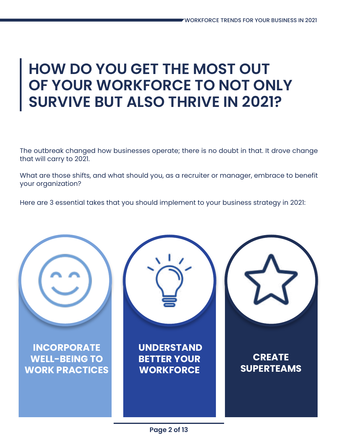## **HOW DO YOU GET THE MOST OUT OF YOUR WORKFORCE TO NOT ONLY SURVIVE BUT ALSO THRIVE IN 2021?**

The outbreak changed how businesses operate; there is no doubt in that. It drove change that will carry to 2021.

What are those shifts, and what should you, as a recruiter or manager, embrace to benefit your organization?

Here are 3 essential takes that you should implement to your business strategy in 2021:

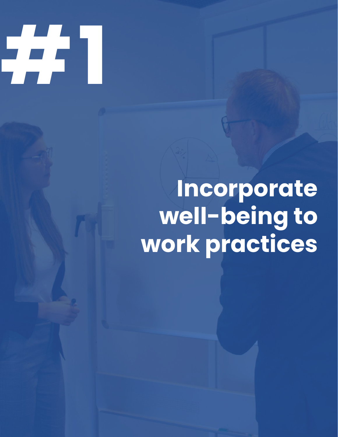

# **Incorporate well-being to work practices**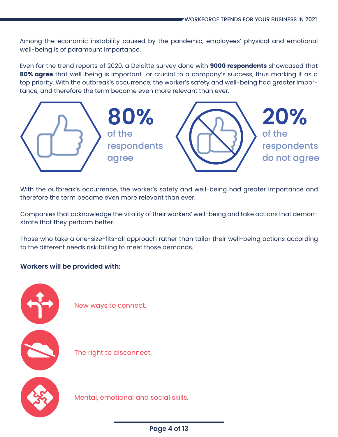Among the economic instability caused by the pandemic, employees' physical and emotional well-being is of paramount importance.

Even for the trend reports of 2020, a Deloitte survey done with **9000 respondents** showcased that **80% agree** that well-being is important or crucial to a company's success, thus marking it as a top priority. With the outbreak's occurrence, the worker's safety and well-being had greater importance, and therefore the term became even more relevant than ever.



With the outbreak's occurrence, the worker's safety and well-being had greater importance and therefore the term became even more relevant than ever.

Companies that acknowledge the vitality of their workers' well-being and take actions that demonstrate that they perform better.

Those who take a one-size-fits-all approach rather than tailor their well-being actions according to the different needs risk failing to meet those demands.

#### **Workers will be provided with:**



New ways to connect.

The right to disconnect.

Mental, emotional and social skills.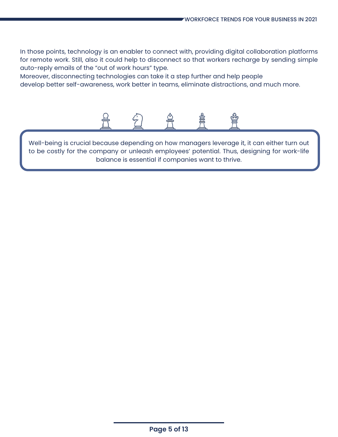In those points, technology is an enabler to connect with, providing digital collaboration platforms for remote work. Still, also it could help to disconnect so that workers recharge by sending simple auto-reply emails of the "out of work hours" type.

Moreover, disconnecting technologies can take it a step further and help people develop better self-awareness, work better in teams, eliminate distractions, and much more.



Well-being is crucial because depending on how managers leverage it, it can either turn out to be costly for the company or unleash employees' potential. Thus, designing for work-life balance is essential if companies want to thrive.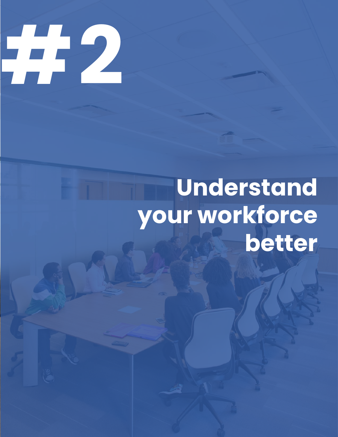

# **Understand your workforce better**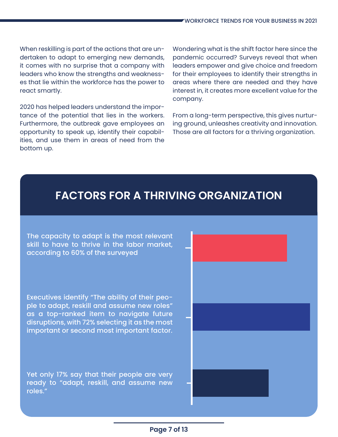When reskilling is part of the actions that are undertaken to adapt to emerging new demands, it comes with no surprise that a company with leaders who know the strengths and weaknesses that lie within the workforce has the power to react smartly.

2020 has helped leaders understand the importance of the potential that lies in the workers. Furthermore, the outbreak gave employees an opportunity to speak up, identify their capabilities, and use them in areas of need from the bottom up.

Wondering what is the shift factor here since the pandemic occurred? Surveys reveal that when leaders empower and give choice and freedom for their employees to identify their strengths in areas where there are needed and they have interest in, it creates more excellent value for the company.

From a long-term perspective, this gives nurturing ground, unleashes creativity and innovation. Those are all factors for a thriving organization.

### **FACTORS FOR A THRIVING ORGANIZATION**

The capacity to adapt is the most relevant skill to have to thrive in the labor market, according to 60% of the surveyed

Executives identify "The ability of their people to adapt, reskill and assume new roles" as a top-ranked item to navigate future disruptions, with 72% selecting it as the most important or second most important factor.

Yet only 17% say that their people are very ready to "adapt, reskill, and assume new roles."

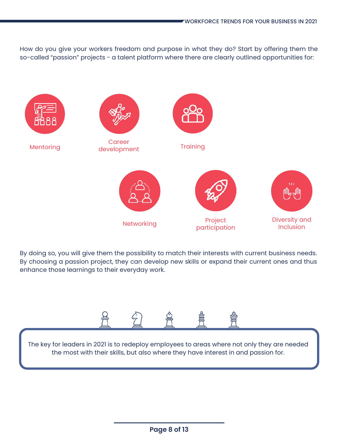How do you give your workers freedom and purpose in what they do? Start by offering them the so-called "passion" projects - a talent platform where there are clearly outlined opportunities for:



By doing so, you will give them the possibility to match their interests with current business needs. By choosing a passion project, they can develop new skills or expand their current ones and thus enhance those learnings to their everyday work.



The key for leaders in 2021 is to redeploy employees to areas where not only they are needed the most with their skills, but also where they have interest in and passion for.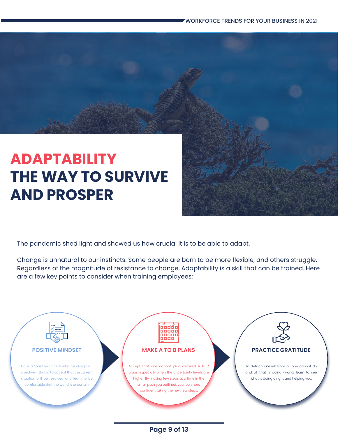## **ADAPTABILITY THE WAY TO SURVIVE AND PROSPER**

The pandemic shed light and showed us how crucial it is to be able to adapt.

Change is unnatural to our instincts. Some people are born to be more flexible, and others struggle. Regardless of the magnitude of resistance to change, Adaptability is a skill that can be trained. Here are a few key points to consider when training employees:



### **Page 9 of 13**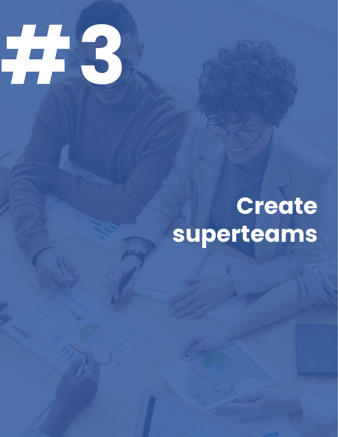

# **Create superteams**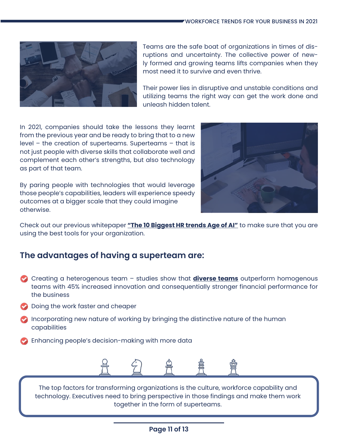

Teams are the safe boat of organizations in times of disruptions and uncertainty. The collective power of newly formed and growing teams lifts companies when they most need it to survive and even thrive.

Their power lies in disruptive and unstable conditions and utilizing teams the right way can get the work done and unleash hidden talent.

In 2021, companies should take the lessons they learnt from the previous year and be ready to bring that to a new level – the creation of superteams. Superteams – that is not just people with diverse skills that collaborate well and complement each other's strengths, but also technology as part of that team.

By paring people with technologies that would leverage those people's capabilities, leaders will experience speedy outcomes at a bigger scale that they could imagine otherwise.



Check out our previous whitepaper **["The 10 Biggest HR trends Age of AI"](https://whaii.com/wp-content/uploads/2021/01/Whaii-Whitepaper-The-10-biggest-HR-trends-in-2021-whitepaper-compressed.pdf)** to make sure that you are using the best tools for your organization.

### **The advantages of having a superteam are:**

- Creating a heterogenous team studies show that **[diverse teams](https://whaii.com/diversity-in-2021-what-is-there-to-know/)** outperform homogenous teams with 45% increased innovation and consequentially stronger financial performance for the business
- **Doing the work faster and cheaper**
- **2** Incorporating new nature of working by bringing the distinctive nature of the human capabilities
- **Enhancing people's decision-making with more data**



The top factors for transforming organizations is the culture, workforce capability and technology. Executives need to bring perspective in those findings and make them work together in the form of superteams.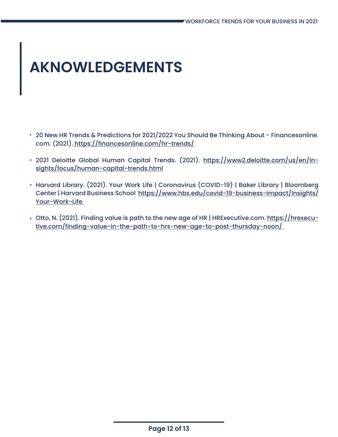# **AKNOWLEDGEMENTS**

- 20 New HR Trends & Predictions for 2021/2022 You Should Be Thinking About Financesonline. com. (2021). https://financesonline.com/hr-trends/
- 2021 Deloitte Global Human Capital Trends. (2021). https://www2.deloitte.com/us/en/insights/focus/human-capital-trends.html
- Harvard Library. (2021). Your Work Life | Coronavirus (COVID-19) | Baker Library | Bloomberg Center | Harvard Business School https://www.hbs.edu/covid-19-business-impact/Insights/ Your-Work-Life
- Otto, N. (2021). Finding value is path to the new age of HR | HRExecutive.com. https://hrexecutive.com/finding-value-in-the-path-to-hrs-new-age-to-post-thursday-noon/